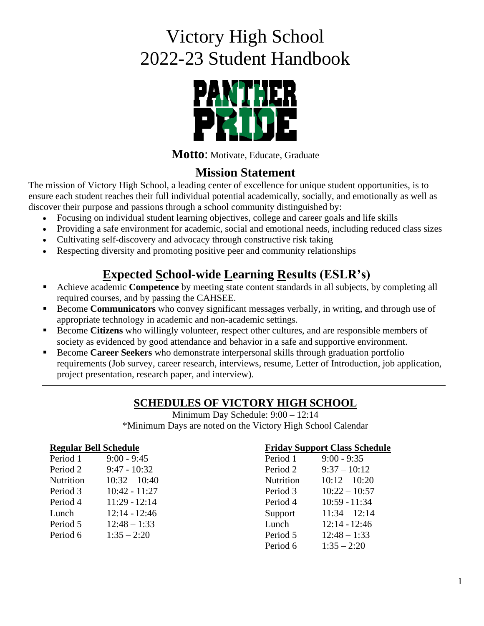# Victory High School 2022-23 Student Handbook



**Motto**: Motivate, Educate, Graduate

# **Mission Statement**

The mission of Victory High School, a leading center of excellence for unique student opportunities, is to ensure each student reaches their full individual potential academically, socially, and emotionally as well as discover their purpose and passions through a school community distinguished by:

- Focusing on individual student learning objectives, college and career goals and life skills
- Providing a safe environment for academic, social and emotional needs, including reduced class sizes
- Cultivating self-discovery and advocacy through constructive risk taking
- Respecting diversity and promoting positive peer and community relationships

# **Expected School-wide Learning Results (ESLR's)**

- Achieve academic **Competence** by meeting state content standards in all subjects, by completing all required courses, and by passing the CAHSEE.
- Become **Communicators** who convey significant messages verbally, in writing, and through use of appropriate technology in academic and non-academic settings.
- Become **Citizens** who willingly volunteer, respect other cultures, and are responsible members of society as evidenced by good attendance and behavior in a safe and supportive environment.
- **EXECOME Career Seekers** who demonstrate interpersonal skills through graduation portfolio requirements (Job survey, career research, interviews, resume, Letter of Introduction, job application, project presentation, research paper, and interview).

# **SCHEDULES OF VICTORY HIGH SCHOOL**

Minimum Day Schedule: 9:00 – 12:14 \*Minimum Days are noted on the Victory High School Calendar

#### **Regular Bell Schedule**

| Period 1  | $9:00 - 9:45$   |
|-----------|-----------------|
| Period 2  | $9:47 - 10:32$  |
| Nutrition | $10:32 - 10:40$ |
| Period 3  | $10:42 - 11:27$ |
| Period 4  | $11:29 - 12:14$ |
| Lunch     | $12:14 - 12:46$ |
| Period 5  | $12:48 - 1:33$  |
| Period 6  | $1:35 - 2:20$   |

#### **Friday Support Class Schedule**

| Period 1  | $9:00 - 9:35$   |
|-----------|-----------------|
| Period 2  | $9:37 - 10:12$  |
| Nutrition | $10:12 - 10:20$ |
| Period 3  | $10:22 - 10:57$ |
| Period 4  | $10:59 - 11:34$ |
| Support   | $11:34 - 12:14$ |
| Lunch     | $12:14 - 12:46$ |
| Period 5  | $12:48 - 1:33$  |
| Period 6  | $1:35 - 2:20$   |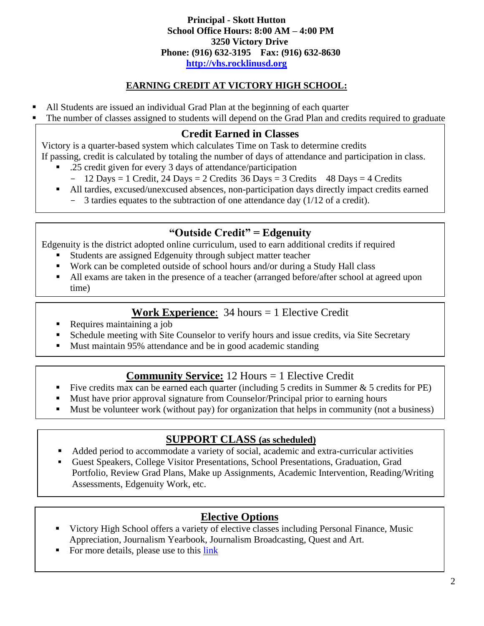**Principal - Skott Hutton School Office Hours: 8:00 AM – 4:00 PM 3250 Victory Drive Phone: (916) 632-3195 Fax: (916) 632-8630 [http://vhs.rocklinusd.org](http://vhs.rocklinusd.org/)**

## **EARNING CREDIT AT VICTORY HIGH SCHOOL:**

- All Students are issued an individual Grad Plan at the beginning of each quarter
- The number of classes assigned to students will depend on the Grad Plan and credits required to graduate

# **Credit Earned in Classes**

Victory is a quarter-based system which calculates Time on Task to determine credits

- If passing, credit is calculated by totaling the number of days of attendance and participation in class.
	- .25 credit given for every 3 days of attendance/participation
	- $-$  12 Days = 1 Credit, 24 Days = 2 Credits 36 Days = 3 Credits 48 Days = 4 Credits
	- All tardies, excused/unexcused absences, non-participation days directly impact credits earned
		- 3 tardies equates to the subtraction of one attendance day (1/12 of a credit).

# **"Outside Credit" = Edgenuity**

Edgenuity is the district adopted online curriculum, used to earn additional credits if required

- Students are assigned Edgenuity through subject matter teacher
- Work can be completed outside of school hours and/or during a Study Hall class
- All exams are taken in the presence of a teacher (arranged before/after school at agreed upon time)

# **Work Experience**: 34 hours = 1 Elective Credit

- Requires maintaining a job
- Schedule meeting with Site Counselor to verify hours and issue credits, via Site Secretary
- Must maintain 95% attendance and be in good academic standing

# **Community Service:** 12 Hours = 1 Elective Credit

- Five credits max can be earned each quarter (including 5 credits in Summer  $\&$  5 credits for PE)
- Must have prior approval signature from Counselor/Principal prior to earning hours
- Must be volunteer work (without pay) for organization that helps in community (not a business)

# **SUPPORT CLASS (as scheduled)**

- Added period to accommodate a variety of social, academic and extra-curricular activities
- Guest Speakers, College Visitor Presentations, School Presentations, Graduation, Grad Portfolio, Review Grad Plans, Make up Assignments, Academic Intervention, Reading/Writing Assessments, Edgenuity Work, etc.

# **Elective Options**

- Victory High School offers a variety of elective classes including Personal Finance, Music Appreciation, Journalism Yearbook, Journalism Broadcasting, Quest and Art.
- For more details, please use to this [link](https://docs.google.com/document/d/1NbOpx4ND6gE3iyjoGDtq85xFxFFek4bIiQdou1GFsoY/edit?usp=sharing)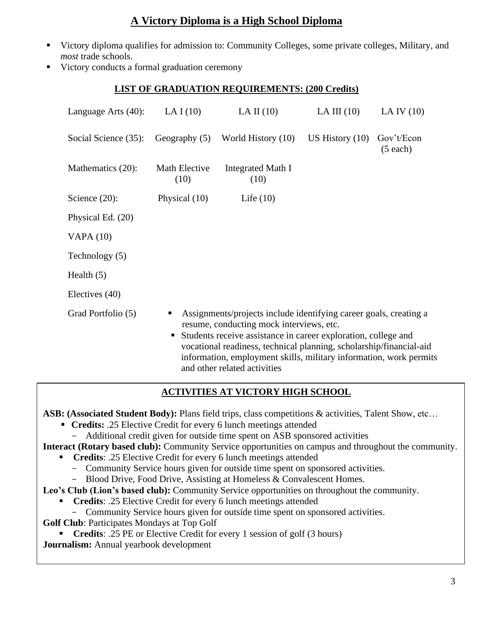# **A Victory Diploma is a High School Diploma**

- Victory diploma qualifies for admission to: Community Colleges, some private colleges, Military, and *most* trade schools.
- Victory conducts a formal graduation ceremony

#### **LIST OF GRADUATION REQUIREMENTS: (200 Credits)**

| Language Arts $(40)$ : | LA I $(10)$                                                                                                                                                                                                                                                                                                                                                            | LA II $(10)$              | LA III $(10)$     | LA IV $(10)$           |  |
|------------------------|------------------------------------------------------------------------------------------------------------------------------------------------------------------------------------------------------------------------------------------------------------------------------------------------------------------------------------------------------------------------|---------------------------|-------------------|------------------------|--|
| Social Science (35):   | Geography $(5)$                                                                                                                                                                                                                                                                                                                                                        | World History (10)        | US History $(10)$ | Gov't/Econ<br>(5 each) |  |
| Mathematics (20):      | Math Elective<br>(10)                                                                                                                                                                                                                                                                                                                                                  | Integrated Math I<br>(10) |                   |                        |  |
| Science $(20)$ :       | Physical (10)                                                                                                                                                                                                                                                                                                                                                          | Life $(10)$               |                   |                        |  |
| Physical Ed. (20)      |                                                                                                                                                                                                                                                                                                                                                                        |                           |                   |                        |  |
| VAPA $(10)$            |                                                                                                                                                                                                                                                                                                                                                                        |                           |                   |                        |  |
| Technology (5)         |                                                                                                                                                                                                                                                                                                                                                                        |                           |                   |                        |  |
| Health $(5)$           |                                                                                                                                                                                                                                                                                                                                                                        |                           |                   |                        |  |
| Electives (40)         |                                                                                                                                                                                                                                                                                                                                                                        |                           |                   |                        |  |
| Grad Portfolio (5)     | Assignments/projects include identifying career goals, creating a<br>п<br>resume, conducting mock interviews, etc.<br>Students receive assistance in career exploration, college and<br>Ξ<br>vocational readiness, technical planning, scholarship/financial-aid<br>information, employment skills, military information, work permits<br>and other related activities |                           |                   |                        |  |

#### **ACTIVITIES AT VICTORY HIGH SCHOOL**

**ASB: (Associated Student Body):** Plans field trips, class competitions & activities, Talent Show, etc…

- **Credits:** .25 Elective Credit for every 6 lunch meetings attended
	- Additional credit given for outside time spent on ASB sponsored activities

**Interact (Rotary based club):** Community Service opportunities on campus and throughout the community.

- **Credits**: .25 Elective Credit for every 6 lunch meetings attended
	- Community Service hours given for outside time spent on sponsored activities.
	- Blood Drive, Food Drive, Assisting at Homeless & Convalescent Homes.

**Leo's Club (Lion's based club):** Community Service opportunities on throughout the community.

- **Credits**: .25 Elective Credit for every 6 lunch meetings attended
	- Community Service hours given for outside time spent on sponsored activities.
- **Golf Club**: Participates Mondays at Top Golf

**• Credits:** .25 PE or Elective Credit for every 1 session of golf (3 hours)

**Journalism:** Annual yearbook development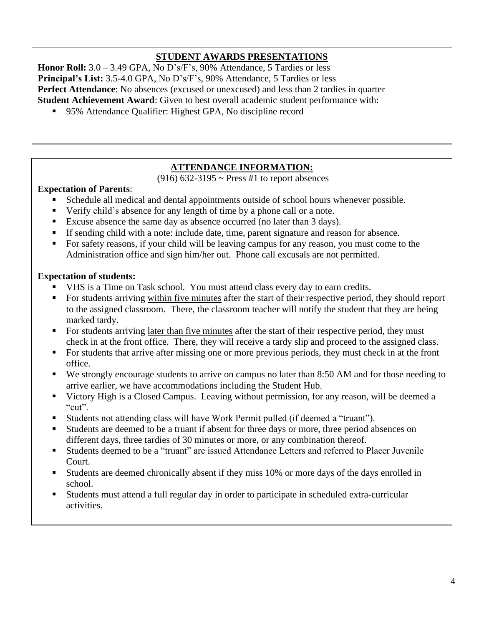#### **STUDENT AWARDS PRESENTATIONS**

**Honor Roll:** 3.0 – 3.49 GPA, No D's/F's, 90% Attendance, 5 Tardies or less **Principal's List:** 3.5-4.0 GPA, No D's/F's, 90% Attendance, 5 Tardies or less **Perfect Attendance**: No absences (excused or unexcused) and less than 2 tardies in quarter **Student Achievement Award**: Given to best overall academic student performance with:

■ 95% Attendance Qualifier: Highest GPA, No discipline record

- Tiebreaker: 1. Credits earned not including Online Classes

#### **ATTENDANCE INFORMATION:**

 $(916)$  632-3195 ~ Press #1 to report absences

#### **Expectation of Parents**:

- Schedule all medical and dental appointments outside of school hours whenever possible.
- Verify child's absence for any length of time by a phone call or a note.
- Excuse absence the same day as absence occurred (no later than 3 days).
- **If sending child with a note: include date, time, parent signature and reason for absence.**
- For safety reasons, if your child will be leaving campus for any reason, you must come to the Administration office and sign him/her out. Phone call excusals are not permitted.

#### **Expectation of students:**

- VHS is a Time on Task school. You must attend class every day to earn credits.
- For students arriving within five minutes after the start of their respective period, they should report to the assigned classroom. There, the classroom teacher will notify the student that they are being marked tardy.
- For students arriving later than five minutes after the start of their respective period, they must check in at the front office. There, they will receive a tardy slip and proceed to the assigned class.
- For students that arrive after missing one or more previous periods, they must check in at the front office.
- We strongly encourage students to arrive on campus no later than 8:50 AM and for those needing to arrive earlier, we have accommodations including the Student Hub.
- Victory High is a Closed Campus. Leaving without permission, for any reason, will be deemed a " $\text{cut}$ ".
- Students not attending class will have Work Permit pulled (if deemed a "truant").
- Students are deemed to be a truant if absent for three days or more, three period absences on different days, three tardies of 30 minutes or more, or any combination thereof.
- Students deemed to be a "truant" are issued Attendance Letters and referred to Placer Juvenile Court.
- Students are deemed chronically absent if they miss 10% or more days of the days enrolled in school.
- Students must attend a full regular day in order to participate in scheduled extra-curricular activities.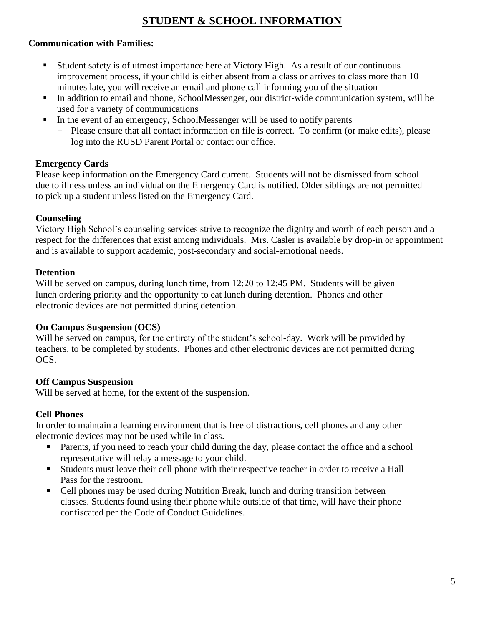# **STUDENT & SCHOOL INFORMATION**

#### **Communication with Families:**

- Student safety is of utmost importance here at Victory High. As a result of our continuous improvement process, if your child is either absent from a class or arrives to class more than 10 minutes late, you will receive an email and phone call informing you of the situation
- In addition to email and phone, SchoolMessenger, our district-wide communication system, will be used for a variety of communications
- In the event of an emergency, SchoolMessenger will be used to notify parents
	- Please ensure that all contact information on file is correct. To confirm (or make edits), please log into the RUSD Parent Portal or contact our office.

#### **Emergency Cards**

Please keep information on the Emergency Card current. Students will not be dismissed from school due to illness unless an individual on the Emergency Card is notified. Older siblings are not permitted to pick up a student unless listed on the Emergency Card.

#### **Counseling**

Victory High School's counseling services strive to recognize the dignity and worth of each person and a respect for the differences that exist among individuals. Mrs. Casler is available by drop-in or appointment and is available to support academic, post-secondary and social-emotional needs.

#### **Detention**

Will be served on campus, during lunch time, from 12:20 to 12:45 PM. Students will be given lunch ordering priority and the opportunity to eat lunch during detention. Phones and other electronic devices are not permitted during detention.

#### **On Campus Suspension (OCS)**

Will be served on campus, for the entirety of the student's school-day. Work will be provided by teachers, to be completed by students. Phones and other electronic devices are not permitted during OCS.

#### **Off Campus Suspension**

Will be served at home, for the extent of the suspension.

#### **Cell Phones**

In order to maintain a learning environment that is free of distractions, cell phones and any other electronic devices may not be used while in class.

- **•** Parents, if you need to reach your child during the day, please contact the office and a school representative will relay a message to your child.
- **Example 1** Students must leave their cell phone with their respective teacher in order to receive a Hall Pass for the restroom.
- Cell phones may be used during Nutrition Break, lunch and during transition between classes. Students found using their phone while outside of that time, will have their phone confiscated per the Code of Conduct Guidelines.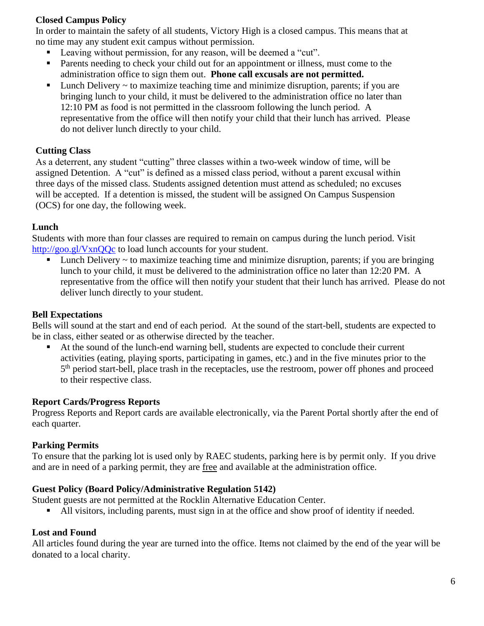#### **Closed Campus Policy**

In order to maintain the safety of all students, Victory High is a closed campus. This means that at no time may any student exit campus without permission.

- Leaving without permission, for any reason, will be deemed a "cut".
- **•** Parents needing to check your child out for an appointment or illness, must come to the administration office to sign them out. **Phone call excusals are not permitted.**
- $\blacksquare$  Lunch Delivery  $\sim$  to maximize teaching time and minimize disruption, parents; if you are bringing lunch to your child, it must be delivered to the administration office no later than 12:10 PM as food is not permitted in the classroom following the lunch period. A representative from the office will then notify your child that their lunch has arrived. Please do not deliver lunch directly to your child.

#### **Cutting Class**

As a deterrent, any student "cutting" three classes within a two-week window of time, will be assigned Detention. A "cut" is defined as a missed class period, without a parent excusal within three days of the missed class. Students assigned detention must attend as scheduled; no excuses will be accepted. If a detention is missed, the student will be assigned On Campus Suspension (OCS) for one day, the following week.

#### **Lunch**

Students with more than four classes are required to remain on campus during the lunch period. Visit http://goo.gl/VxnOQc to load lunch accounts for your student.

 $\blacksquare$  Lunch Delivery  $\sim$  to maximize teaching time and minimize disruption, parents; if you are bringing lunch to your child, it must be delivered to the administration office no later than 12:20 PM. A representative from the office will then notify your student that their lunch has arrived. Please do not deliver lunch directly to your student.

#### **Bell Expectations**

Bells will sound at the start and end of each period. At the sound of the start-bell, students are expected to be in class, either seated or as otherwise directed by the teacher.

At the sound of the lunch-end warning bell, students are expected to conclude their current activities (eating, playing sports, participating in games, etc.) and in the five minutes prior to the 5<sup>th</sup> period start-bell, place trash in the receptacles, use the restroom, power off phones and proceed to their respective class.

#### **Report Cards/Progress Reports**

Progress Reports and Report cards are available electronically, via the Parent Portal shortly after the end of each quarter.

#### **Parking Permits**

To ensure that the parking lot is used only by RAEC students, parking here is by permit only. If you drive and are in need of a parking permit, they are free and available at the administration office.

#### **Guest Policy (Board Policy/Administrative Regulation 5142)**

Student guests are not permitted at the Rocklin Alternative Education Center.

■ All visitors, including parents, must sign in at the office and show proof of identity if needed.

#### **Lost and Found**

All articles found during the year are turned into the office. Items not claimed by the end of the year will be donated to a local charity.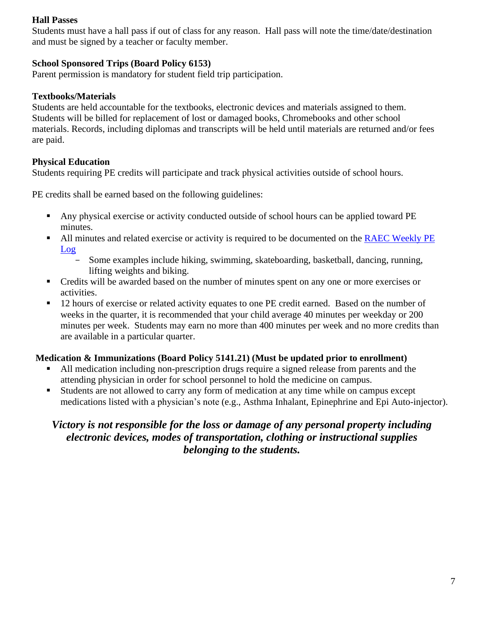#### **Hall Passes**

Students must have a hall pass if out of class for any reason. Hall pass will note the time/date/destination and must be signed by a teacher or faculty member.

#### **School Sponsored Trips (Board Policy 6153)**

Parent permission is mandatory for student field trip participation.

#### **Textbooks/Materials**

Students are held accountable for the textbooks, electronic devices and materials assigned to them. Students will be billed for replacement of lost or damaged books, Chromebooks and other school materials. Records, including diplomas and transcripts will be held until materials are returned and/or fees are paid.

#### **Physical Education**

Students requiring PE credits will participate and track physical activities outside of school hours.

PE credits shall be earned based on the following guidelines:

- Any physical exercise or activity conducted outside of school hours can be applied toward PE minutes.
- In All minutes and related exercise or activity is required to be documented on the RAEC Weekly PE [Log](https://docs.google.com/a/rocklinusd.org/document/d/13fMcCCkLx8iOIdSvifXfK0aJvqubh0GNS499wmomx50/edit?usp=sharing)
	- Some examples include hiking, swimming, skateboarding, basketball, dancing, running, lifting weights and biking.
- Credits will be awarded based on the number of minutes spent on any one or more exercises or activities.
- 12 hours of exercise or related activity equates to one PE credit earned. Based on the number of weeks in the quarter, it is recommended that your child average 40 minutes per weekday or 200 minutes per week. Students may earn no more than 400 minutes per week and no more credits than are available in a particular quarter.

#### **Medication & Immunizations (Board Policy 5141.21) (Must be updated prior to enrollment)**

- All medication including non-prescription drugs require a signed release from parents and the attending physician in order for school personnel to hold the medicine on campus.
- Students are not allowed to carry any form of medication at any time while on campus except medications listed with a physician's note (e.g., Asthma Inhalant, Epinephrine and Epi Auto-injector).

## *Victory is not responsible for the loss or damage of any personal property including electronic devices, modes of transportation, clothing or instructional supplies belonging to the students.*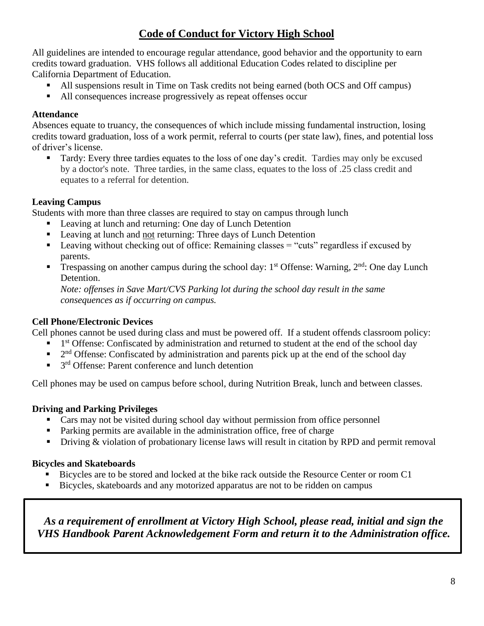# **Code of Conduct for Victory High School**

All guidelines are intended to encourage regular attendance, good behavior and the opportunity to earn credits toward graduation. VHS follows all additional Education Codes related to discipline per California Department of Education.

- All suspensions result in Time on Task credits not being earned (both OCS and Off campus)
- All consequences increase progressively as repeat offenses occur

#### **Attendance**

Absences equate to truancy, the consequences of which include missing fundamental instruction, losing credits toward graduation, loss of a work permit, referral to courts (per state law), fines, and potential loss of driver's license.

**Tardy:** Every three tardies equates to the loss of one day's credit. Tardies may only be excused by a doctor's note. Three tardies, in the same class, equates to the loss of .25 class credit and equates to a referral for detention.

#### **Leaving Campus**

Students with more than three classes are required to stay on campus through lunch

- Leaving at lunch and returning: One day of Lunch Detention
- Leaving at lunch and not returning: Three days of Lunch Detention
- **Example 1.4** Leaving without checking out of office: Remaining classes  $=$  "cuts" regardless if excused by parents.
- **Trespassing on another campus during the school day:** 1<sup>st</sup> Offense: Warning,  $2<sup>nd</sup>$ : One day Lunch Detention.

*Note: offenses in Save Mart/CVS Parking lot during the school day result in the same consequences as if occurring on campus.* 

#### **Cell Phone/Electronic Devices**

Cell phones cannot be used during class and must be powered off. If a student offends classroom policy:

- **•** 1<sup>st</sup> Offense: Confiscated by administration and returned to student at the end of the school day
- $\blacksquare$  2<sup>nd</sup> Offense: Confiscated by administration and parents pick up at the end of the school day
- $\blacksquare$  3<sup>rd</sup> Offense: Parent conference and lunch detention

Cell phones may be used on campus before school, during Nutrition Break, lunch and between classes.

#### **Driving and Parking Privileges**

- Cars may not be visited during school day without permission from office personnel
- Parking permits are available in the administration office, free of charge
- **•** Driving & violation of probationary license laws will result in citation by RPD and permit removal

#### **Bicycles and Skateboards**

- Bicycles are to be stored and locked at the bike rack outside the Resource Center or room C1
- Bicycles, skateboards and any motorized apparatus are not to be ridden on campus

*As a requirement of enrollment at Victory High School, please read, initial and sign the VHS Handbook Parent Acknowledgement Form and return it to the Administration office.*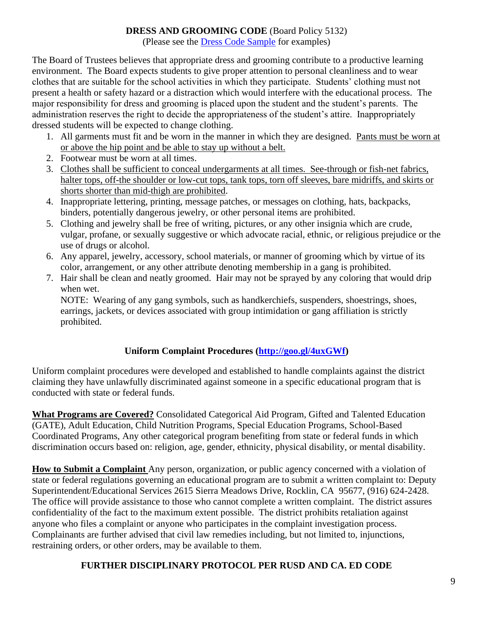#### **DRESS AND GROOMING CODE** (Board Policy 5132)

(Please see the [Dress Code Sample](https://drive.google.com/open?id=0Bx-qgQan7za5YU9tUlhnVkl3RUN4SG44d3AtUHJiREF2cGE0) for examples)

The Board of Trustees believes that appropriate dress and grooming contribute to a productive learning environment. The Board expects students to give proper attention to personal cleanliness and to wear clothes that are suitable for the school activities in which they participate. Students' clothing must not present a health or safety hazard or a distraction which would interfere with the educational process. The major responsibility for dress and grooming is placed upon the student and the student's parents. The administration reserves the right to decide the appropriateness of the student's attire. Inappropriately dressed students will be expected to change clothing.

- 1. All garments must fit and be worn in the manner in which they are designed. Pants must be worn at or above the hip point and be able to stay up without a belt.
- 2. Footwear must be worn at all times.
- 3. Clothes shall be sufficient to conceal undergarments at all times. See-through or fish-net fabrics, halter tops, off-the shoulder or low-cut tops, tank tops, torn off sleeves, bare midriffs, and skirts or shorts shorter than mid-thigh are prohibited.
- 4. Inappropriate lettering, printing, message patches, or messages on clothing, hats, backpacks, binders, potentially dangerous jewelry, or other personal items are prohibited.
- 5. Clothing and jewelry shall be free of writing, pictures, or any other insignia which are crude, vulgar, profane, or sexually suggestive or which advocate racial, ethnic, or religious prejudice or the use of drugs or alcohol.
- 6. Any apparel, jewelry, accessory, school materials, or manner of grooming which by virtue of its color, arrangement, or any other attribute denoting membership in a gang is prohibited.
- 7. Hair shall be clean and neatly groomed. Hair may not be sprayed by any coloring that would drip when wet.

NOTE: Wearing of any gang symbols, such as handkerchiefs, suspenders, shoestrings, shoes, earrings, jackets, or devices associated with group intimidation or gang affiliation is strictly prohibited.

### **Uniform Complaint Procedures [\(http://goo.gl/4uxGWf\)](http://goo.gl/4uxGWf)**

Uniform complaint procedures were developed and established to handle complaints against the district claiming they have unlawfully discriminated against someone in a specific educational program that is conducted with state or federal funds.

**What Programs are Covered?** Consolidated Categorical Aid Program, Gifted and Talented Education (GATE), Adult Education, Child Nutrition Programs, Special Education Programs, School-Based Coordinated Programs, Any other categorical program benefiting from state or federal funds in which discrimination occurs based on: religion, age, gender, ethnicity, physical disability, or mental disability.

**How to Submit a Complaint** Any person, organization, or public agency concerned with a violation of state or federal regulations governing an educational program are to submit a written complaint to: Deputy Superintendent/Educational Services 2615 Sierra Meadows Drive, Rocklin, CA 95677, (916) 624-2428. The office will provide assistance to those who cannot complete a written complaint. The district assures confidentiality of the fact to the maximum extent possible. The district prohibits retaliation against anyone who files a complaint or anyone who participates in the complaint investigation process. Complainants are further advised that civil law remedies including, but not limited to, injunctions, restraining orders, or other orders, may be available to them.

### **FURTHER DISCIPLINARY PROTOCOL PER RUSD AND CA. ED CODE**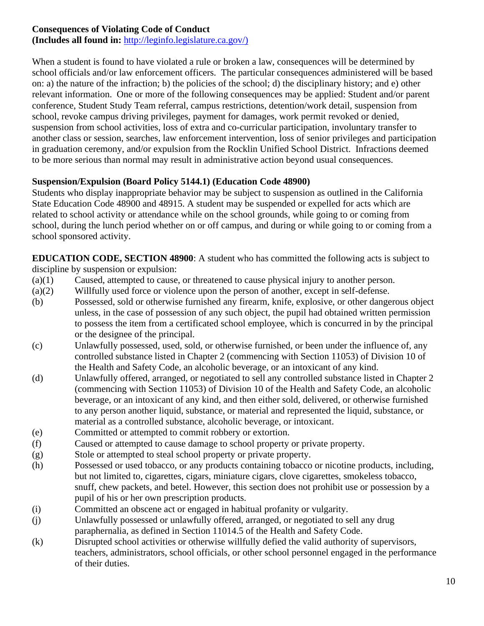#### **Consequences of Violating Code of Conduct**

**(Includes all found in:** [http://leginfo.legislature.ca.gov/\)](http://leginfo.legislature.ca.gov/)

When a student is found to have violated a rule or broken a law, consequences will be determined by school officials and/or law enforcement officers. The particular consequences administered will be based on: a) the nature of the infraction; b) the policies of the school; d) the disciplinary history; and e) other relevant information. One or more of the following consequences may be applied: Student and/or parent conference, Student Study Team referral, campus restrictions, detention/work detail, suspension from school, revoke campus driving privileges, payment for damages, work permit revoked or denied, suspension from school activities, loss of extra and co-curricular participation, involuntary transfer to another class or session, searches, law enforcement intervention, loss of senior privileges and participation in graduation ceremony, and/or expulsion from the Rocklin Unified School District. Infractions deemed to be more serious than normal may result in administrative action beyond usual consequences.

#### **Suspension/Expulsion (Board Policy 5144.1) (Education Code 48900)**

Students who display inappropriate behavior may be subject to suspension as outlined in the California State Education Code 48900 and 48915. A student may be suspended or expelled for acts which are related to school activity or attendance while on the school grounds, while going to or coming from school, during the lunch period whether on or off campus, and during or while going to or coming from a school sponsored activity.

**EDUCATION CODE, SECTION 48900**: A student who has committed the following acts is subject to discipline by suspension or expulsion:

- (a)(1) Caused, attempted to cause, or threatened to cause physical injury to another person.
- (a)(2) Willfully used force or violence upon the person of another, except in self-defense.
- (b) Possessed, sold or otherwise furnished any firearm, knife, explosive, or other dangerous object unless, in the case of possession of any such object, the pupil had obtained written permission to possess the item from a certificated school employee, which is concurred in by the principal or the designee of the principal.
- (c) Unlawfully possessed, used, sold, or otherwise furnished, or been under the influence of, any controlled substance listed in Chapter 2 (commencing with Section 11053) of Division 10 of the Health and Safety Code, an alcoholic beverage, or an intoxicant of any kind.
- (d) Unlawfully offered, arranged, or negotiated to sell any controlled substance listed in Chapter 2 (commencing with Section 11053) of Division 10 of the Health and Safety Code, an alcoholic beverage, or an intoxicant of any kind, and then either sold, delivered, or otherwise furnished to any person another liquid, substance, or material and represented the liquid, substance, or material as a controlled substance, alcoholic beverage, or intoxicant.
- (e) Committed or attempted to commit robbery or extortion.
- (f) Caused or attempted to cause damage to school property or private property.
- (g) Stole or attempted to steal school property or private property.
- (h) Possessed or used tobacco, or any products containing tobacco or nicotine products, including, but not limited to, cigarettes, cigars, miniature cigars, clove cigarettes, smokeless tobacco, snuff, chew packets, and betel. However, this section does not prohibit use or possession by a pupil of his or her own prescription products.
- (i) Committed an obscene act or engaged in habitual profanity or vulgarity.
- (j) Unlawfully possessed or unlawfully offered, arranged, or negotiated to sell any drug paraphernalia, as defined in Section 11014.5 of the Health and Safety Code.
- (k) Disrupted school activities or otherwise willfully defied the valid authority of supervisors, teachers, administrators, school officials, or other school personnel engaged in the performance of their duties.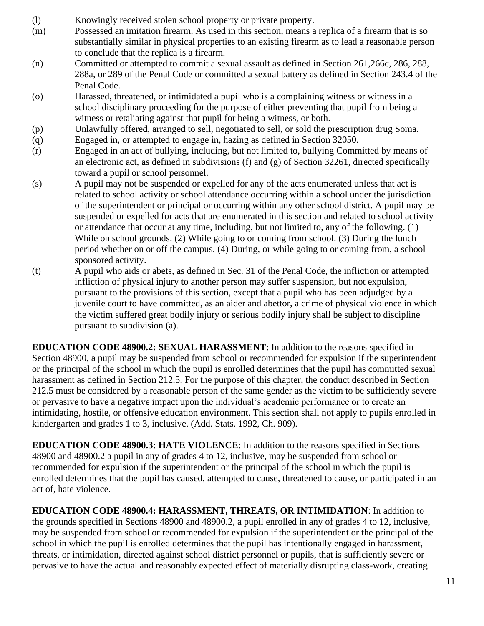- (l) Knowingly received stolen school property or private property.
- (m) Possessed an imitation firearm. As used in this section, means a replica of a firearm that is so substantially similar in physical properties to an existing firearm as to lead a reasonable person to conclude that the replica is a firearm.
- (n) Committed or attempted to commit a sexual assault as defined in Section 261,266c, 286, 288, 288a, or 289 of the Penal Code or committed a sexual battery as defined in Section 243.4 of the Penal Code.
- (o) Harassed, threatened, or intimidated a pupil who is a complaining witness or witness in a school disciplinary proceeding for the purpose of either preventing that pupil from being a witness or retaliating against that pupil for being a witness, or both.
- (p) Unlawfully offered, arranged to sell, negotiated to sell, or sold the prescription drug Soma.
- (q) Engaged in, or attempted to engage in, hazing as defined in Section 32050.
- (r) Engaged in an act of bullying, including, but not limited to, bullying Committed by means of an electronic act, as defined in subdivisions (f) and (g) of Section 32261, directed specifically toward a pupil or school personnel.
- (s) A pupil may not be suspended or expelled for any of the acts enumerated unless that act is related to school activity or school attendance occurring within a school under the jurisdiction of the superintendent or principal or occurring within any other school district. A pupil may be suspended or expelled for acts that are enumerated in this section and related to school activity or attendance that occur at any time, including, but not limited to, any of the following. (1) While on school grounds. (2) While going to or coming from school. (3) During the lunch period whether on or off the campus. (4) During, or while going to or coming from, a school sponsored activity.
- (t) A pupil who aids or abets, as defined in Sec. 31 of the Penal Code, the infliction or attempted infliction of physical injury to another person may suffer suspension, but not expulsion, pursuant to the provisions of this section, except that a pupil who has been adjudged by a juvenile court to have committed, as an aider and abettor, a crime of physical violence in which the victim suffered great bodily injury or serious bodily injury shall be subject to discipline pursuant to subdivision (a).

**EDUCATION CODE 48900.2: SEXUAL HARASSMENT**: In addition to the reasons specified in Section 48900, a pupil may be suspended from school or recommended for expulsion if the superintendent or the principal of the school in which the pupil is enrolled determines that the pupil has committed sexual harassment as defined in Section 212.5. For the purpose of this chapter, the conduct described in Section 212.5 must be considered by a reasonable person of the same gender as the victim to be sufficiently severe or pervasive to have a negative impact upon the individual's academic performance or to create an intimidating, hostile, or offensive education environment. This section shall not apply to pupils enrolled in kindergarten and grades 1 to 3, inclusive. (Add. Stats. 1992, Ch. 909).

**EDUCATION CODE 48900.3: HATE VIOLENCE**: In addition to the reasons specified in Sections 48900 and 48900.2 a pupil in any of grades 4 to 12, inclusive, may be suspended from school or recommended for expulsion if the superintendent or the principal of the school in which the pupil is enrolled determines that the pupil has caused, attempted to cause, threatened to cause, or participated in an act of, hate violence.

**EDUCATION CODE 48900.4: HARASSMENT, THREATS, OR INTIMIDATION**: In addition to the grounds specified in Sections 48900 and 48900.2, a pupil enrolled in any of grades 4 to 12, inclusive, may be suspended from school or recommended for expulsion if the superintendent or the principal of the school in which the pupil is enrolled determines that the pupil has intentionally engaged in harassment, threats, or intimidation, directed against school district personnel or pupils, that is sufficiently severe or pervasive to have the actual and reasonably expected effect of materially disrupting class-work, creating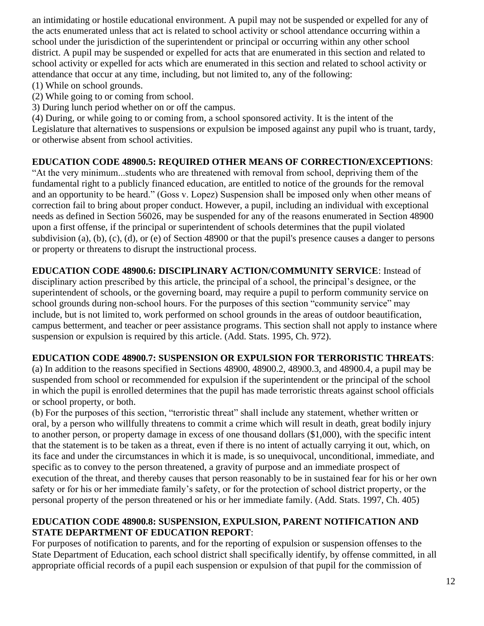an intimidating or hostile educational environment. A pupil may not be suspended or expelled for any of the acts enumerated unless that act is related to school activity or school attendance occurring within a school under the jurisdiction of the superintendent or principal or occurring within any other school district. A pupil may be suspended or expelled for acts that are enumerated in this section and related to school activity or expelled for acts which are enumerated in this section and related to school activity or attendance that occur at any time, including, but not limited to, any of the following:

- (1) While on school grounds.
- (2) While going to or coming from school.
- 3) During lunch period whether on or off the campus.

(4) During, or while going to or coming from, a school sponsored activity. It is the intent of the Legislature that alternatives to suspensions or expulsion be imposed against any pupil who is truant, tardy, or otherwise absent from school activities.

#### **EDUCATION CODE 48900.5: REQUIRED OTHER MEANS OF CORRECTION/EXCEPTIONS**:

"At the very minimum...students who are threatened with removal from school, depriving them of the fundamental right to a publicly financed education, are entitled to notice of the grounds for the removal and an opportunity to be heard." (Goss v. Lopez) Suspension shall be imposed only when other means of correction fail to bring about proper conduct. However, a pupil, including an individual with exceptional needs as defined in Section 56026, may be suspended for any of the reasons enumerated in Section 48900 upon a first offense, if the principal or superintendent of schools determines that the pupil violated subdivision (a), (b), (c), (d), or (e) of Section 48900 or that the pupil's presence causes a danger to persons or property or threatens to disrupt the instructional process.

# **EDUCATION CODE 48900.6: DISCIPLINARY ACTION/COMMUNITY SERVICE**: Instead of

disciplinary action prescribed by this article, the principal of a school, the principal's designee, or the superintendent of schools, or the governing board, may require a pupil to perform community service on school grounds during non-school hours. For the purposes of this section "community service" may include, but is not limited to, work performed on school grounds in the areas of outdoor beautification, campus betterment, and teacher or peer assistance programs. This section shall not apply to instance where suspension or expulsion is required by this article. (Add. Stats. 1995, Ch. 972).

#### **EDUCATION CODE 48900.7: SUSPENSION OR EXPULSION FOR TERRORISTIC THREATS**:

(a) In addition to the reasons specified in Sections 48900, 48900.2, 48900.3, and 48900.4, a pupil may be suspended from school or recommended for expulsion if the superintendent or the principal of the school in which the pupil is enrolled determines that the pupil has made terroristic threats against school officials or school property, or both.

(b) For the purposes of this section, "terroristic threat" shall include any statement, whether written or oral, by a person who willfully threatens to commit a crime which will result in death, great bodily injury to another person, or property damage in excess of one thousand dollars (\$1,000), with the specific intent that the statement is to be taken as a threat, even if there is no intent of actually carrying it out, which, on its face and under the circumstances in which it is made, is so unequivocal, unconditional, immediate, and specific as to convey to the person threatened, a gravity of purpose and an immediate prospect of execution of the threat, and thereby causes that person reasonably to be in sustained fear for his or her own safety or for his or her immediate family's safety, or for the protection of school district property, or the personal property of the person threatened or his or her immediate family. (Add. Stats. 1997, Ch. 405)

#### **EDUCATION CODE 48900.8: SUSPENSION, EXPULSION, PARENT NOTIFICATION AND STATE DEPARTMENT OF EDUCATION REPORT**:

For purposes of notification to parents, and for the reporting of expulsion or suspension offenses to the State Department of Education, each school district shall specifically identify, by offense committed, in all appropriate official records of a pupil each suspension or expulsion of that pupil for the commission of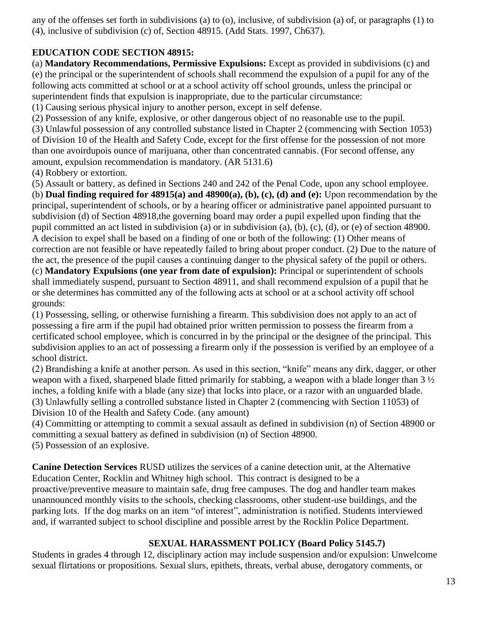any of the offenses set forth in subdivisions (a) to (o), inclusive, of subdivision (a) of, or paragraphs (1) to (4), inclusive of subdivision (c) of, Section 48915. (Add Stats. 1997, Ch637).

#### **EDUCATION CODE SECTION 48915:**

(a) **Mandatory Recommendations, Permissive Expulsions:** Except as provided in subdivisions (c) and (e) the principal or the superintendent of schools shall recommend the expulsion of a pupil for any of the following acts committed at school or at a school activity off school grounds, unless the principal or superintendent finds that expulsion is inappropriate, due to the particular circumstance:

(1) Causing serious physical injury to another person, except in self defense.

(2) Possession of any knife, explosive, or other dangerous object of no reasonable use to the pupil.

(3) Unlawful possession of any controlled substance listed in Chapter 2 (commencing with Section 1053) of Division 10 of the Health and Safety Code, except for the first offense for the possession of not more than one avoirdupois ounce of marijuana, other than concentrated cannabis. (For second offense, any amount, expulsion recommendation is mandatory. (AR 5131.6)

(4) Robbery or extortion.

(5) Assault or battery, as defined in Sections 240 and 242 of the Penal Code, upon any school employee. (b) **Dual finding required for 48915(a) and 48900(a), (b), (c), (d) and (e):** Upon recommendation by the principal, superintendent of schools, or by a hearing officer or administrative panel appointed pursuant to subdivision (d) of Section 48918,the governing board may order a pupil expelled upon finding that the pupil committed an act listed in subdivision (a) or in subdivision (a), (b), (c), (d), or (e) of section 48900. A decision to expel shall be based on a finding of one or both of the following: (1) Other means of correction are not feasible or have repeatedly failed to bring about proper conduct. (2) Due to the nature of the act, the presence of the pupil causes a continuing danger to the physical safety of the pupil or others. (c) **Mandatory Expulsions (one year from date of expulsion):** Principal or superintendent of schools shall immediately suspend, pursuant to Section 48911, and shall recommend expulsion of a pupil that he or she determines has committed any of the following acts at school or at a school activity off school grounds:

(1) Possessing, selling, or otherwise furnishing a firearm. This subdivision does not apply to an act of possessing a fire arm if the pupil had obtained prior written permission to possess the firearm from a certificated school employee, which is concurred in by the principal or the designee of the principal. This subdivision applies to an act of possessing a firearm only if the possession is verified by an employee of a school district.

(2) Brandishing a knife at another person. As used in this section, "knife" means any dirk, dagger, or other weapon with a fixed, sharpened blade fitted primarily for stabbing, a weapon with a blade longer than 3 ½ inches, a folding knife with a blade (any size) that locks into place, or a razor with an unguarded blade. (3) Unlawfully selling a controlled substance listed in Chapter 2 (commencing with Section 11053) of Division 10 of the Health and Safety Code. (any amount)

(4) Committing or attempting to commit a sexual assault as defined in subdivision (n) of Section 48900 or committing a sexual battery as defined in subdivision (n) of Section 48900. (5) Possession of an explosive.

**Canine Detection Services** RUSD utilizes the services of a canine detection unit, at the Alternative Education Center, Rocklin and Whitney high school. This contract is designed to be a proactive/preventive measure to maintain safe, drug free campuses. The dog and handler team makes unannounced monthly visits to the schools, checking classrooms, other student-use buildings, and the parking lots. If the dog marks on an item "of interest", administration is notified. Students interviewed and, if warranted subject to school discipline and possible arrest by the Rocklin Police Department.

### **SEXUAL HARASSMENT POLICY (Board Policy 5145.7)**

Students in grades 4 through 12, disciplinary action may include suspension and/or expulsion: Unwelcome sexual flirtations or propositions. Sexual slurs, epithets, threats, verbal abuse, derogatory comments, or